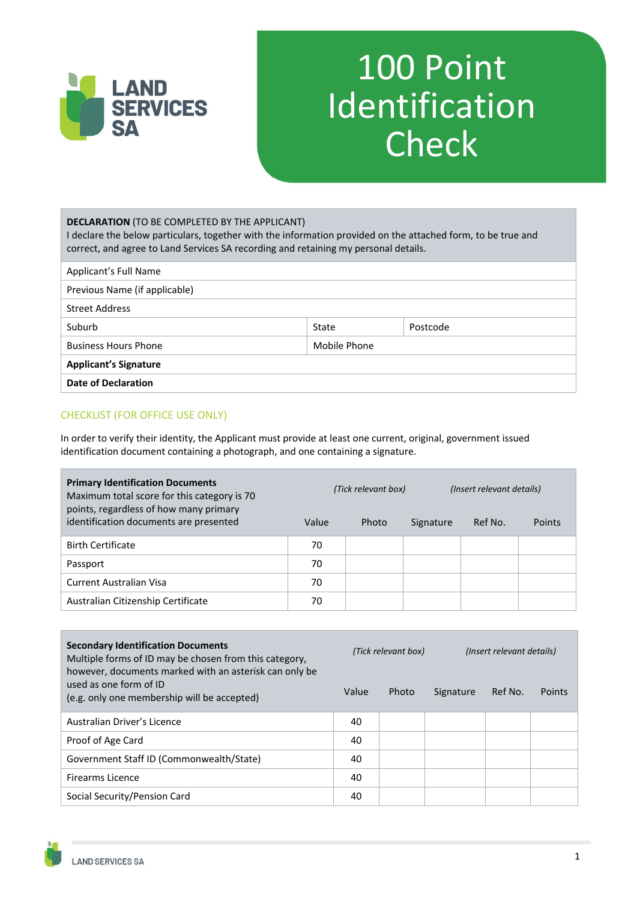

# 100 Point Identification **Check**

| <b>DECLARATION (TO BE COMPLETED BY THE APPLICANT)</b><br>I declare the below particulars, together with the information provided on the attached form, to be true and<br>correct, and agree to Land Services SA recording and retaining my personal details. |                   |  |  |  |  |
|--------------------------------------------------------------------------------------------------------------------------------------------------------------------------------------------------------------------------------------------------------------|-------------------|--|--|--|--|
| Applicant's Full Name                                                                                                                                                                                                                                        |                   |  |  |  |  |
| Previous Name (if applicable)                                                                                                                                                                                                                                |                   |  |  |  |  |
| <b>Street Address</b>                                                                                                                                                                                                                                        |                   |  |  |  |  |
| Suburb                                                                                                                                                                                                                                                       | Postcode<br>State |  |  |  |  |
| <b>Business Hours Phone</b>                                                                                                                                                                                                                                  | Mobile Phone      |  |  |  |  |
| <b>Applicant's Signature</b>                                                                                                                                                                                                                                 |                   |  |  |  |  |
| <b>Date of Declaration</b>                                                                                                                                                                                                                                   |                   |  |  |  |  |

#### CHECKLIST (FOR OFFICE USE ONLY)

In order to verify their identity, the Applicant must provide at least one current, original, government issued identification document containing a photograph, and one containing a signature.

| <b>Primary Identification Documents</b><br>Maximum total score for this category is 70<br>points, regardless of how many primary |       | (Tick relevant box) |           | (Insert relevant details) |               |  |
|----------------------------------------------------------------------------------------------------------------------------------|-------|---------------------|-----------|---------------------------|---------------|--|
| identification documents are presented                                                                                           | Value | Photo               | Signature | Ref No.                   | <b>Points</b> |  |
| <b>Birth Certificate</b>                                                                                                         | 70    |                     |           |                           |               |  |
| Passport                                                                                                                         | 70    |                     |           |                           |               |  |
| Current Australian Visa                                                                                                          | 70    |                     |           |                           |               |  |
| Australian Citizenship Certificate                                                                                               | 70    |                     |           |                           |               |  |

| <b>Secondary Identification Documents</b><br>Multiple forms of ID may be chosen from this category,<br>however, documents marked with an asterisk can only be | (Tick relevant box) |       | (Insert relevant details) |         |        |
|---------------------------------------------------------------------------------------------------------------------------------------------------------------|---------------------|-------|---------------------------|---------|--------|
| used as one form of ID<br>(e.g. only one membership will be accepted)                                                                                         | Value               | Photo | Signature                 | Ref No. | Points |
| Australian Driver's Licence                                                                                                                                   | 40                  |       |                           |         |        |
| Proof of Age Card                                                                                                                                             | 40                  |       |                           |         |        |
| Government Staff ID (Commonwealth/State)                                                                                                                      | 40                  |       |                           |         |        |
| Firearms Licence                                                                                                                                              | 40                  |       |                           |         |        |
| Social Security/Pension Card                                                                                                                                  | 40                  |       |                           |         |        |